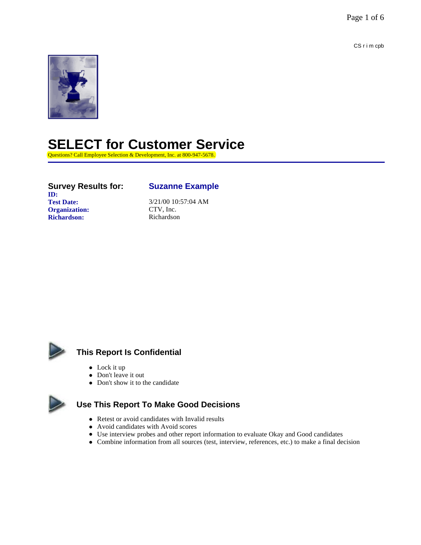Page 1 of 6

CS r i m cpb



## **SELECT for Customer Service**

Questions? Call Employee Selection & Development, Inc. at 800-947-5678.

**Survey Results for: Suzanne Example ID: Test Date:** 3/21/00 10:57:04 AM<br> **Organization:** CTV, Inc. **Organization:** CTV, Inc.<br> **Richardson:** Richardson **Richardson:** Richardson



### **This Report Is Confidential**

- $\bullet$  Lock it up
- Don't leave it out
- Don't show it to the candidate



### **Use This Report To Make Good Decisions**

- Retest or avoid candidates with Invalid results
- Avoid candidates with Avoid scores
- Use interview probes and other report information to evaluate Okay and Good candidates
- l Combine information from all sources (test, interview, references, etc.) to make a final decision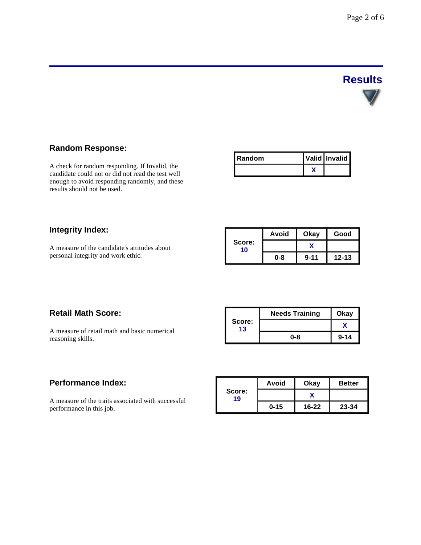## **Results**

### **Random Response:**

A check for random responding. If Invalid, the candidate could not or did not read the test well enough to avoid responding randomly, and these results should not be used.

| I Random | Valid Invalid |
|----------|---------------|
|          |               |

### **Integrity Index:**

A measure of the candidate's attitudes about personal integrity and work ethic.

| Score:<br>10 | Avoid | Okay     | Good      |
|--------------|-------|----------|-----------|
|              |       |          |           |
|              | 0-8   | $9 - 11$ | $12 - 13$ |

### **Retail Math Score:**

A measure of retail math and basic numerical reasoning skills.

|              | <b>Needs Training</b> | Okay     |
|--------------|-----------------------|----------|
| Score:<br>13 |                       |          |
|              | 0-8                   | $9 - 14$ |

### **Performance Index:**

A measure of the traits associated with successful performance in this job.

|              | Avoid    | Okay      | <b>Better</b> |
|--------------|----------|-----------|---------------|
| Score:<br>19 |          |           |               |
|              | $0 - 15$ | $16 - 22$ | 23-34         |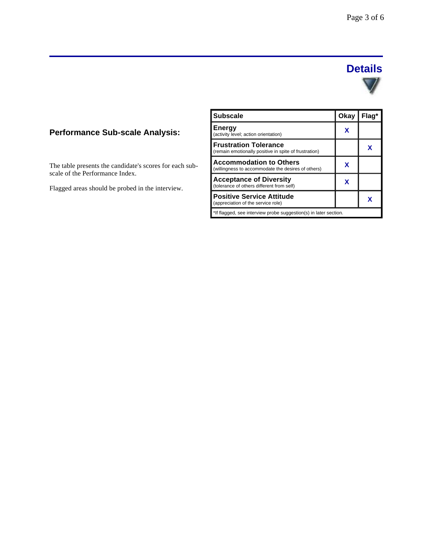### **Details**



### **Performance Sub-scale Analysis:**

The table presents the candidate's scores for each subscale of the Performance Index.

Flagged areas should be probed in the interview.

| <b>Subscale</b>                                                                       | Okay | Flag* |
|---------------------------------------------------------------------------------------|------|-------|
| <b>Energy</b><br>(activity level; action orientation)                                 | x    |       |
| <b>Frustration Tolerance</b><br>(remain emotionally positive in spite of frustration) |      | x     |
| <b>Accommodation to Others</b><br>(willingness to accommodate the desires of others)  | x    |       |
| <b>Acceptance of Diversity</b><br>(tolerance of others different from self)           | x    |       |
| <b>Positive Service Attitude</b><br>(appreciation of the service role)                |      |       |
| *If flagged, see interview probe suggestion(s) in later section.                      |      |       |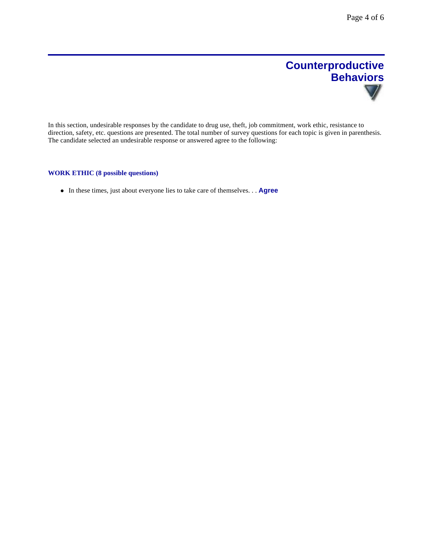## **Counterproductive Behaviors**

In this section, undesirable responses by the candidate to drug use, theft, job commitment, work ethic, resistance to direction, safety, etc. questions are presented. The total number of survey questions for each topic is given in parenthesis. The candidate selected an undesirable response or answered agree to the following:

### **WORK ETHIC (8 possible questions)**

**In these times, just about everyone lies to take care of themselves... Agree**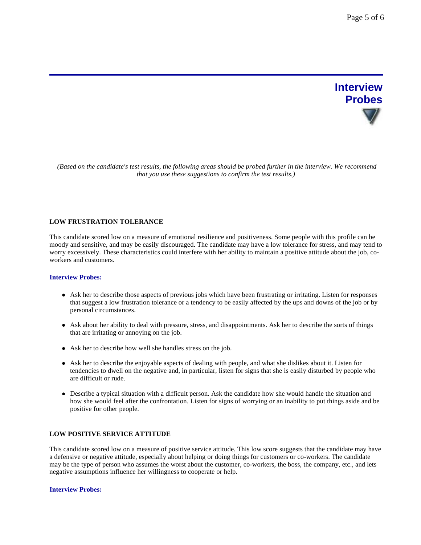# **Interview Probes**

 *(Based on the candidate's test results, the following areas should be probed further in the interview. We recommend that you use these suggestions to confirm the test results.)*

### **LOW FRUSTRATION TOLERANCE**

This candidate scored low on a measure of emotional resilience and positiveness. Some people with this profile can be moody and sensitive, and may be easily discouraged. The candidate may have a low tolerance for stress, and may tend to worry excessively. These characteristics could interfere with her ability to maintain a positive attitude about the job, coworkers and customers.

### **Interview Probes:**

- Ask her to describe those aspects of previous jobs which have been frustrating or irritating. Listen for responses that suggest a low frustration tolerance or a tendency to be easily affected by the ups and downs of the job or by personal circumstances.
- Ask about her ability to deal with pressure, stress, and disappointments. Ask her to describe the sorts of things that are irritating or annoying on the job.
- Ask her to describe how well she handles stress on the job.
- Ask her to describe the enjoyable aspects of dealing with people, and what she dislikes about it. Listen for tendencies to dwell on the negative and, in particular, listen for signs that she is easily disturbed by people who are difficult or rude.
- Describe a typical situation with a difficult person. Ask the candidate how she would handle the situation and how she would feel after the confrontation. Listen for signs of worrying or an inability to put things aside and be positive for other people.

### **LOW POSITIVE SERVICE ATTITUDE**

This candidate scored low on a measure of positive service attitude. This low score suggests that the candidate may have a defensive or negative attitude, especially about helping or doing things for customers or co-workers. The candidate may be the type of person who assumes the worst about the customer, co-workers, the boss, the company, etc., and lets negative assumptions influence her willingness to cooperate or help.

#### **Interview Probes:**